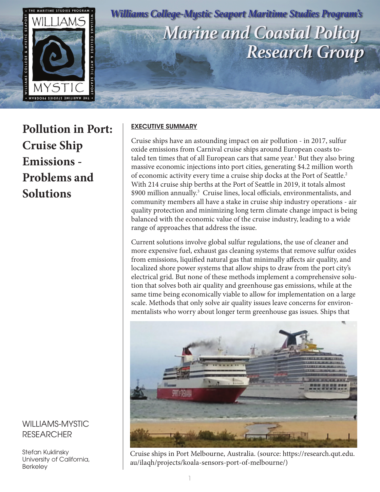

**Pollution in Port: Cruise Ship Emissions - Problems and Solutions**

# WILLIAMS-MYSTIC RESEARCHER

Stefan Kuklinsky University of California, **Berkeley** 

## EXECUTIVE SUMMARY

Cruise ships have an astounding impact on air pollution - in 2017, sulfur oxide emissions from Carnival cruise ships around European coasts totaled ten times that of all European cars that same year.<sup>1</sup> But they also bring massive economic injections into port cities, generating \$4.2 million worth of economic activity every time a cruise ship docks at the Port of Seattle.2 With 214 cruise ship berths at the Port of Seattle in 2019, it totals almost \$900 million annually.<sup>3</sup> Cruise lines, local officials, environmentalists, and community members all have a stake in cruise ship industry operations - air quality protection and minimizing long term climate change impact is being balanced with the economic value of the cruise industry, leading to a wide range of approaches that address the issue.

Williams College-Mystic Seaport Maritime Studies Program's

**Marine and Coastal Policy** 

**Research Group** 

Current solutions involve global sulfur regulations, the use of cleaner and more expensive fuel, exhaust gas cleaning systems that remove sulfur oxides from emissions, liquified natural gas that minimally affects air quality, and localized shore power systems that allow ships to draw from the port city's electrical grid. But none of these methods implement a comprehensive solution that solves both air quality and greenhouse gas emissions, while at the same time being economically viable to allow for implementation on a large scale. Methods that only solve air quality issues leave concerns for environmentalists who worry about longer term greenhouse gas issues. Ships that



Cruise ships in Port Melbourne, Australia. (source: https://research.qut.edu. au/ilaqh/projects/koala-sensors-port-of-melbourne/)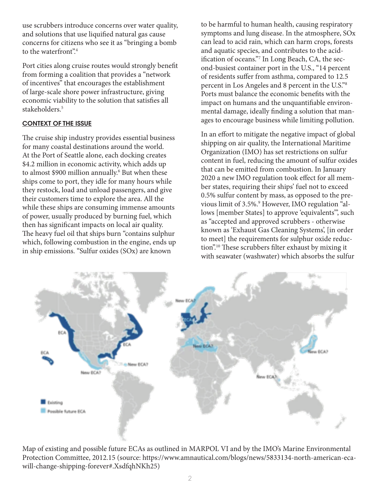use scrubbers introduce concerns over water quality, and solutions that use liquified natural gas cause concerns for citizens who see it as "bringing a bomb to the waterfront".<sup>4</sup>

Port cities along cruise routes would strongly benefit from forming a coalition that provides a "network of incentives" that encourages the establishment of large-scale shore power infrastructure, giving economic viability to the solution that satisfies all stakeholders.<sup>5</sup>

## CONTEXT OF THE ISSUE

The cruise ship industry provides essential business for many coastal destinations around the world. At the Port of Seattle alone, each docking creates \$4.2 million in economic activity, which adds up to almost \$900 million annually.<sup>6</sup> But when these ships come to port, they idle for many hours while they restock, load and unload passengers, and give their customers time to explore the area. All the while these ships are consuming immense amounts of power, usually produced by burning fuel, which then has significant impacts on local air quality. The heavy fuel oil that ships burn "contains sulphur which, following combustion in the engine, ends up in ship emissions. "Sulfur oxides (SOx) are known

to be harmful to human health, causing respiratory symptoms and lung disease. In the atmosphere, SOx can lead to acid rain, which can harm crops, forests and aquatic species, and contributes to the acidification of oceans."7 In Long Beach, CA, the second-busiest container port in the U.S., "14 percent of residents suffer from asthma, compared to 12.5 percent in Los Angeles and 8 percent in the U.S."8 Ports must balance the economic benefits with the impact on humans and the unquantifiable environmental damage, ideally finding a solution that manages to encourage business while limiting pollution.

In an effort to mitigate the negative impact of global shipping on air quality, the International Maritime Organization (IMO) has set restrictions on sulfur content in fuel, reducing the amount of sulfur oxides that can be emitted from combustion. In January 2020 a new IMO regulation took effect for all member states, requiring their ships' fuel not to exceed 0.5% sulfur content by mass, as opposed to the previous limit of 3.5%.<sup>9</sup> However, IMO regulation "allows [member States] to approve 'equivalents'", such as "accepted and approved scrubbers - otherwise known as 'Exhaust Gas Cleaning Systems', [in order to meet] the requirements for sulphur oxide reduction".10 These scrubbers filter exhaust by mixing it with seawater (washwater) which absorbs the sulfur



Map of existing and possible future ECAs as outlined in MARPOL VI and by the IMO's Marine Environmental Protection Committee, 2012.15 (source: https://www.amnautical.com/blogs/news/5833134-north-american-ecawill-change-shipping-forever#.XsdfqhNKh25)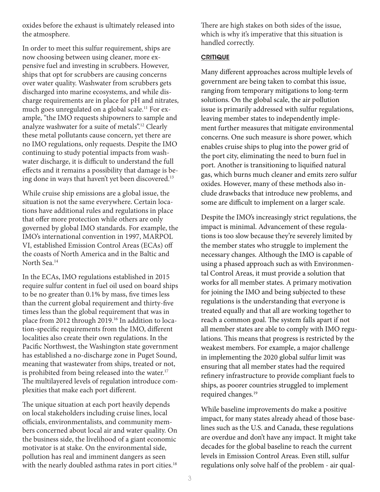oxides before the exhaust is ultimately released into the atmosphere.

In order to meet this sulfur requirement, ships are now choosing between using cleaner, more expensive fuel and investing in scrubbers. However, ships that opt for scrubbers are causing concerns over water quality. Washwater from scrubbers gets discharged into marine ecosystems, and while discharge requirements are in place for pH and nitrates, much goes unregulated on a global scale.<sup>11</sup> For example, "the IMO requests shipowners to sample and analyze washwater for a suite of metals".12 Clearly these metal pollutants cause concern, yet there are no IMO regulations, only requests. Despite the IMO continuing to study potential impacts from washwater discharge, it is difficult to understand the full effects and it remains a possibility that damage is being done in ways that haven't yet been discovered.<sup>13</sup>

While cruise ship emissions are a global issue, the situation is not the same everywhere. Certain locations have additional rules and regulations in place that offer more protection while others are only governed by global IMO standards. For example, the IMO's international convention in 1997, MARPOL VI, established Emission Control Areas (ECAs) off the coasts of North America and in the Baltic and North Sea.<sup>14</sup>

In the ECAs, IMO regulations established in 2015 require sulfur content in fuel oil used on board ships to be no greater than 0.1% by mass, five times less than the current global requirement and thirty-five times less than the global requirement that was in place from 2012 through 2019.16 In addition to location-specific requirements from the IMO, different localities also create their own regulations. In the Pacific Northwest, the Washington state government has established a no-discharge zone in Puget Sound, meaning that wastewater from ships, treated or not, is prohibited from being released into the water.<sup>17</sup> The multilayered levels of regulation introduce complexities that make each port different.

The unique situation at each port heavily depends on local stakeholders including cruise lines, local officials, environmentalists, and community members concerned about local air and water quality. On the business side, the livelihood of a giant economic motivator is at stake. On the environmental side, pollution has real and imminent dangers as seen with the nearly doubled asthma rates in port cities.<sup>18</sup>

There are high stakes on both sides of the issue, which is why it's imperative that this situation is handled correctly.

### **CRITIQUE**

Many different approaches across multiple levels of government are being taken to combat this issue, ranging from temporary mitigations to long-term solutions. On the global scale, the air pollution issue is primarily addressed with sulfur regulations, leaving member states to independently implement further measures that mitigate environmental concerns. One such measure is shore power, which enables cruise ships to plug into the power grid of the port city, eliminating the need to burn fuel in port. Another is transitioning to liquified natural gas, which burns much cleaner and emits zero sulfur oxides. However, many of these methods also include drawbacks that introduce new problems, and some are difficult to implement on a larger scale.

Despite the IMO's increasingly strict regulations, the impact is minimal. Advancement of these regulations is too slow because they're severely limited by the member states who struggle to implement the necessary changes. Although the IMO is capable of using a phased approach such as with Environmental Control Areas, it must provide a solution that works for all member states. A primary motivation for joining the IMO and being subjected to these regulations is the understanding that everyone is treated equally and that all are working together to reach a common goal. The system falls apart if not all member states are able to comply with IMO regulations. This means that progress is restricted by the weakest members. For example, a major challenge in implementing the 2020 global sulfur limit was ensuring that all member states had the required refinery infrastructure to provide compliant fuels to ships, as poorer countries struggled to implement required changes.<sup>19</sup>

While baseline improvements do make a positive impact, for many states already ahead of those baselines such as the U.S. and Canada, these regulations are overdue and don't have any impact. It might take decades for the global baseline to reach the current levels in Emission Control Areas. Even still, sulfur regulations only solve half of the problem - air qual-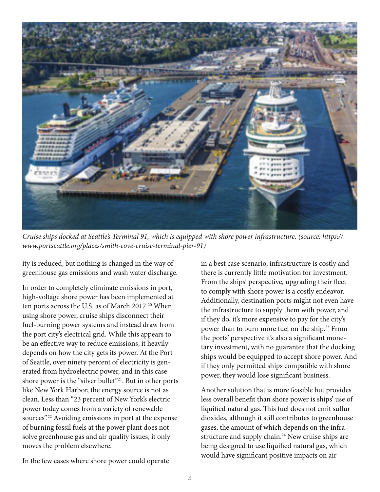

*Cruise ships docked at Seattle's Terminal 91, which is equipped with shore power infrastructure. (source: https:// www.portseattle.org/places/smith-cove-cruise-terminal-pier-91)*

ity is reduced, but nothing is changed in the way of greenhouse gas emissions and wash water discharge.

In order to completely eliminate emissions in port, high-voltage shore power has been implemented at ten ports across the U.S. as of March 2017.<sup>20</sup> When using shore power, cruise ships disconnect their fuel-burning power systems and instead draw from the port city's electrical grid. While this appears to be an effective way to reduce emissions, it heavily depends on how the city gets its power. At the Port of Seattle, over ninety percent of electricity is generated from hydroelectric power, and in this case shore power is the "silver bullet"<sup>21</sup>. But in other ports like New York Harbor, the energy source is not as clean. Less than "23 percent of New York's electric power today comes from a variety of renewable sources".<sup>22</sup> Avoiding emissions in port at the expense of burning fossil fuels at the power plant does not solve greenhouse gas and air quality issues, it only moves the problem elsewhere.

in a best case scenario, infrastructure is costly and there is currently little motivation for investment. From the ships' perspective, upgrading their fleet to comply with shore power is a costly endeavor. Additionally, destination ports might not even have the infrastructure to supply them with power, and if they do, it's more expensive to pay for the city's power than to burn more fuel on the ship.<sup>23</sup> From the ports' perspective it's also a significant monetary investment, with no guarantee that the docking ships would be equipped to accept shore power. And if they only permitted ships compatible with shore power, they would lose significant business.

Another solution that is more feasible but provides less overall benefit than shore power is ships' use of liquified natural gas. This fuel does not emit sulfur dioxides, although it still contributes to greenhouse gases, the amount of which depends on the infrastructure and supply chain.<sup>24</sup> New cruise ships are being designed to use liquified natural gas, which would have significant positive impacts on air

In the few cases where shore power could operate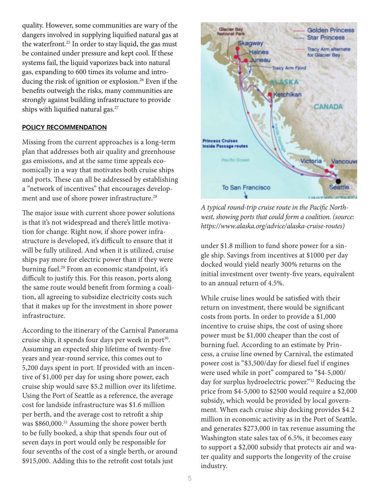quality. However, some communities are wary of the dangers involved in supplying liquified natural gas at the waterfront.25 In order to stay liquid, the gas must be contained under pressure and kept cool. If these systems fail, the liquid vaporizes back into natural gas, expanding to 600 times its volume and introducing the risk of ignition or explosion.26 Even if the benefits outweigh the risks, many communities are strongly against building infrastructure to provide ships with liquified natural gas.<sup>27</sup>

#### POLICY RECOMMENDATION

Missing from the current approaches is a long-term plan that addresses both air quality and greenhouse gas emissions, and at the same time appeals economically in a way that motivates both cruise ships and ports. These can all be addressed by establishing a "network of incentives" that encourages development and use of shore power infrastructure.<sup>28</sup>

The major issue with current shore power solutions is that it's not widespread and there's little motivation for change. Right now, if shore power infrastructure is developed, it's difficult to ensure that it will be fully utilized. And when it is utilized, cruise ships pay more for electric power than if they were burning fuel.<sup>29</sup> From an economic standpoint, it's difficult to justify this. For this reason, ports along the same route would benefit from forming a coalition, all agreeing to subsidize electricity costs such that it makes up for the investment in shore power infrastructure.

According to the itinerary of the Carnival Panorama cruise ship, it spends four days per week in port $^{30}$ . Assuming an expected ship lifetime of twenty-five years and year-round service, this comes out to 5,200 days spent in port. If provided with an incentive of \$1,000 per day for using shore power, each cruise ship would save \$5.2 million over its lifetime. Using the Port of Seattle as a reference, the average cost for landside infrastructure was \$1.6 million per berth, and the average cost to retrofit a ship was \$860,000.<sup>31</sup> Assuming the shore power berth to be fully booked, a ship that spends four out of seven days in port would only be responsible for four sevenths of the cost of a single berth, or around \$915,000. Adding this to the retrofit cost totals just



*A typical round-trip cruise route in the Pacific Northwest, showing ports that could form a coalition. (source: https://www.alaska.org/advice/alaska-cruise-routes)*

under \$1.8 million to fund shore power for a single ship. Savings from incentives at \$1000 per day docked would yield nearly 300% returns on the initial investment over twenty-five years, equivalent to an annual return of 4.5%.

While cruise lines would be satisfied with their return on investment, there would be significant costs from ports. In order to provide a \$1,000 incentive to cruise ships, the cost of using shore power must be \$1,000 cheaper than the cost of burning fuel. According to an estimate by Princess, a cruise line owned by Carnival, the estimated power cost is "\$3,500/day for diesel fuel if engines were used while in port" compared to "\$4-5,000/ day for surplus hydroelectric power."32 Reducing the price from \$4-5,000 to \$2500 would require a \$2,000 subsidy, which would be provided by local government. When each cruise ship docking provides \$4.2 million in economic activity as in the Port of Seattle, and generates \$273,000 in tax revenue assuming the Washington state sales tax of 6.5%, it becomes easy to support a \$2,000 subsidy that protects air and water quality and supports the longevity of the cruise industry.